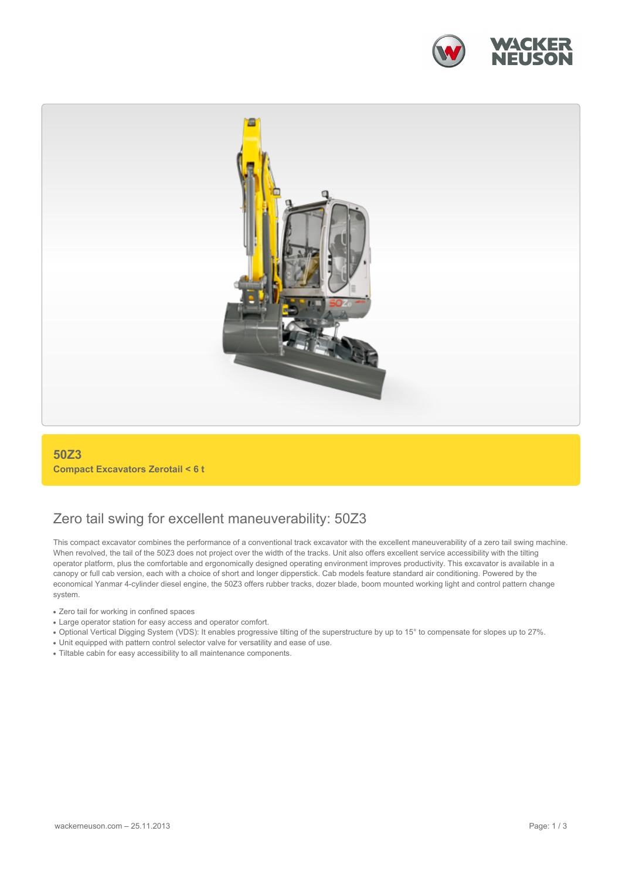



### **50Z3 Compact Excavators Zerotail < 6 t**

## Zero tail swing for excellent maneuverability: 50Z3

This compact excavator combines the performance of a conventional track excavator with the excellent maneuverability of a zero tail swing machine. When revolved, the tail of the 50Z3 does not project over the width of the tracks. Unit also offers excellent service accessibility with the tilting operator platform, plus the comfortable and ergonomically designed operating environment improves productivity. This excavator is available in a canopy or full cab version, each with a choice of short and longer dipperstick. Cab models feature standard air conditioning. Powered by the economical Yanmar 4-cylinder diesel engine, the 50Z3 offers rubber tracks, dozer blade, boom mounted working light and control pattern change system.

- Zero tail for working in confined spaces
- Large operator station for easy access and operator comfort.
- Optional Vertical Digging System (VDS): It enables progressive tilting of the superstructure by up to 15° to compensate for slopes up to 27%.
- Unit equipped with pattern control selector valve for versatility and ease of use.
- Tiltable cabin for easy accessibility to all maintenance components.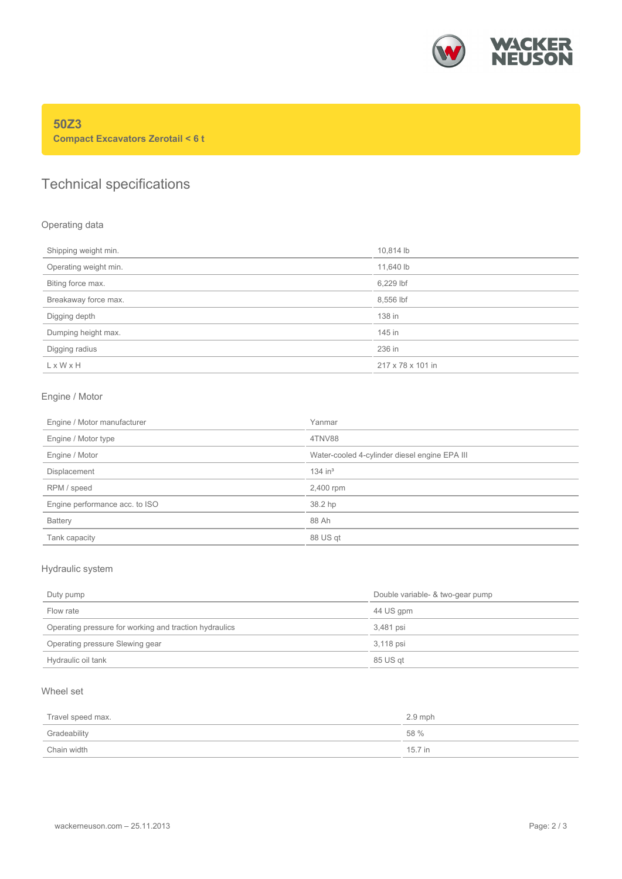

### **50Z3 Compact Excavators Zerotail < 6 t**

# Technical specifications

### Operating data

| Shipping weight min.  | 10,814 lb         |
|-----------------------|-------------------|
| Operating weight min. | 11,640 lb         |
| Biting force max.     | 6,229 lbf         |
| Breakaway force max.  | 8,556 lbf         |
| Digging depth         | 138 in            |
| Dumping height max.   | 145 in            |
| Digging radius        | 236 in            |
| $L \times W \times H$ | 217 x 78 x 101 in |
|                       |                   |

### Engine / Motor

| Engine / Motor manufacturer    | Yanmar                                        |
|--------------------------------|-----------------------------------------------|
| Engine / Motor type            | 4TNV88                                        |
| Engine / Motor                 | Water-cooled 4-cylinder diesel engine EPA III |
| Displacement                   | $134$ in <sup>3</sup>                         |
| RPM / speed                    | 2,400 rpm                                     |
| Engine performance acc. to ISO | 38.2 hp                                       |
| <b>Battery</b>                 | 88 Ah                                         |
| Tank capacity                  | 88 US qt                                      |

### Hydraulic system

| Duty pump                                              | Double variable- & two-gear pump |  |
|--------------------------------------------------------|----------------------------------|--|
| Flow rate                                              | 44 US gpm                        |  |
| Operating pressure for working and traction hydraulics | 3.481 psi                        |  |
| Operating pressure Slewing gear                        | 3.118 psi                        |  |
| Hydraulic oil tank                                     | 85 US qt                         |  |

### Wheel set

| Travel speed max. | $2.9$ mph |
|-------------------|-----------|
| Gradeability      | 58 %      |
| Chain width       | 15.7 in   |